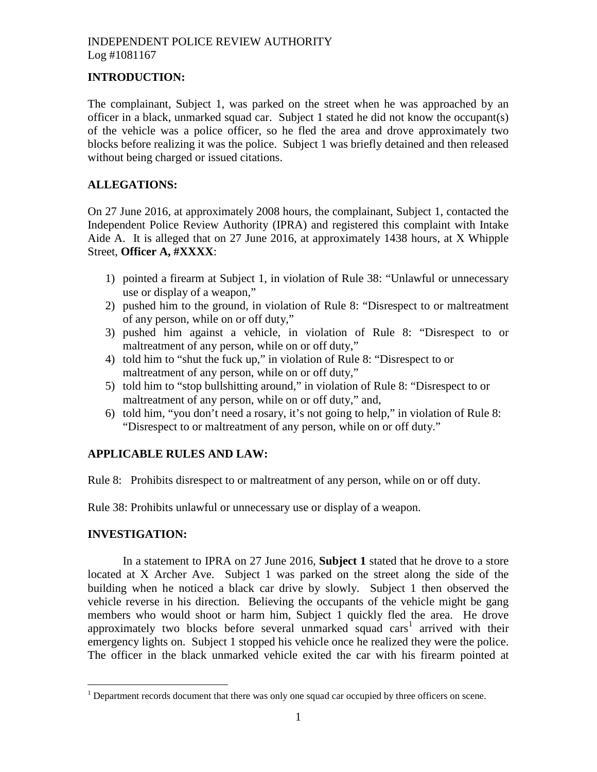### **INTRODUCTION:**

The complainant, Subject 1, was parked on the street when he was approached by an officer in a black, unmarked squad car. Subject 1 stated he did not know the occupant(s) of the vehicle was a police officer, so he fled the area and drove approximately two blocks before realizing it was the police. Subject 1 was briefly detained and then released without being charged or issued citations.

## **ALLEGATIONS:**

On 27 June 2016, at approximately 2008 hours, the complainant, Subject 1, contacted the Independent Police Review Authority (IPRA) and registered this complaint with Intake Aide A. It is alleged that on 27 June 2016, at approximately 1438 hours, at X Whipple Street, **Officer A, #XXXX**:

- 1) pointed a firearm at Subject 1, in violation of Rule 38: "Unlawful or unnecessary use or display of a weapon,"
- 2) pushed him to the ground, in violation of Rule 8: "Disrespect to or maltreatment of any person, while on or off duty,"
- 3) pushed him against a vehicle, in violation of Rule 8: "Disrespect to or maltreatment of any person, while on or off duty,"
- 4) told him to "shut the fuck up," in violation of Rule 8: "Disrespect to or maltreatment of any person, while on or off duty,"
- 5) told him to "stop bullshitting around," in violation of Rule 8: "Disrespect to or maltreatment of any person, while on or off duty," and,
- 6) told him, "you don't need a rosary, it's not going to help," in violation of Rule 8: "Disrespect to or maltreatment of any person, while on or off duty."

# **APPLICABLE RULES AND LAW:**

Rule 8: Prohibits disrespect to or maltreatment of any person, while on or off duty.

Rule 38: Prohibits unlawful or unnecessary use or display of a weapon.

### **INVESTIGATION:**

In a statement to IPRA on 27 June 2016, **Subject 1** stated that he drove to a store located at X Archer Ave. Subject 1 was parked on the street along the side of the building when he noticed a black car drive by slowly. Subject 1 then observed the vehicle reverse in his direction. Believing the occupants of the vehicle might be gang members who would shoot or harm him, Subject 1 quickly fled the area. He drove approximatelytwo blocks before several unmarked squad cars<sup>1</sup> arrived with their emergency lights on. Subject 1 stopped his vehicle once he realized they were the police. The officer in the black unmarked vehicle exited the car with his firearm pointed at

<span id="page-0-0"></span><sup>&</sup>lt;sup>1</sup> Department records document that there was only one squad car occupied by three officers on scene.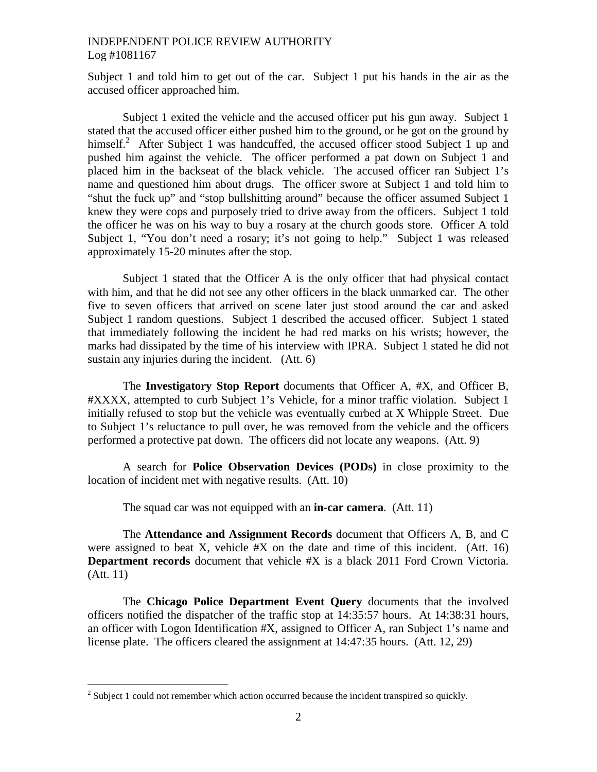Subject 1 and told him to get out of the car. Subject 1 put his hands in the air as the accused officer approached him.

Subject 1 exited the vehicle and the accused officer put his gun away. Subject 1 stated that the accused officer either pushed him to the ground, or he got on the ground by himself. $^{2}$  $^{2}$  $^{2}$  After Subject 1 was handcuffed, the accused officer stood Subject 1 up and pushed him against the vehicle. The officer performed a pat down on Subject 1 and placed him in the backseat of the black vehicle. The accused officer ran Subject 1's name and questioned him about drugs. The officer swore at Subject 1 and told him to "shut the fuck up" and "stop bullshitting around" because the officer assumed Subject 1 knew they were cops and purposely tried to drive away from the officers. Subject 1 told the officer he was on his way to buy a rosary at the church goods store. Officer A told Subject 1, "You don't need a rosary; it's not going to help." Subject 1 was released approximately 15-20 minutes after the stop.

Subject 1 stated that the Officer A is the only officer that had physical contact with him, and that he did not see any other officers in the black unmarked car. The other five to seven officers that arrived on scene later just stood around the car and asked Subject 1 random questions. Subject 1 described the accused officer. Subject 1 stated that immediately following the incident he had red marks on his wrists; however, the marks had dissipated by the time of his interview with IPRA. Subject 1 stated he did not sustain any injuries during the incident. (Att. 6)

The **Investigatory Stop Report** documents that Officer A, #X, and Officer B, #XXXX, attempted to curb Subject 1's Vehicle, for a minor traffic violation. Subject 1 initially refused to stop but the vehicle was eventually curbed at X Whipple Street. Due to Subject 1's reluctance to pull over, he was removed from the vehicle and the officers performed a protective pat down. The officers did not locate any weapons. (Att. 9)

A search for **Police Observation Devices (PODs)** in close proximity to the location of incident met with negative results. (Att. 10)

The squad car was not equipped with an **in-car camera**. (Att. 11)

The **Attendance and Assignment Records** document that Officers A, B, and C were assigned to beat X, vehicle  $#X$  on the date and time of this incident. (Att. 16) **Department records** document that vehicle #X is a black 2011 Ford Crown Victoria. (Att. 11)

The **Chicago Police Department Event Query** documents that the involved officers notified the dispatcher of the traffic stop at 14:35:57 hours. At 14:38:31 hours, an officer with Logon Identification #X, assigned to Officer A, ran Subject 1's name and license plate. The officers cleared the assignment at 14:47:35 hours. (Att. 12, 29)

<span id="page-1-0"></span> $2^2$  Subject 1 could not remember which action occurred because the incident transpired so quickly.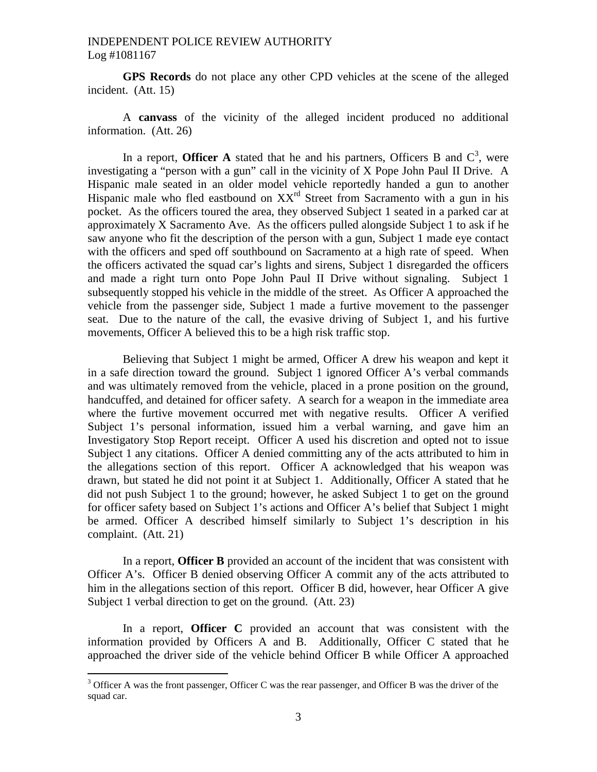**GPS Records** do not place any other CPD vehicles at the scene of the alleged incident. (Att. 15)

A **canvass** of the vicinity of the alleged incident produced no additional information. (Att. 26)

Ina report, **Officer A** stated that he and his partners, Officers B and  $C^3$ , were investigating a "person with a gun" call in the vicinity of X Pope John Paul II Drive. A Hispanic male seated in an older model vehicle reportedly handed a gun to another Hispanic male who fled eastbound on  $XX<sup>rd</sup>$  Street from Sacramento with a gun in his pocket. As the officers toured the area, they observed Subject 1 seated in a parked car at approximately X Sacramento Ave. As the officers pulled alongside Subject 1 to ask if he saw anyone who fit the description of the person with a gun, Subject 1 made eye contact with the officers and sped off southbound on Sacramento at a high rate of speed. When the officers activated the squad car's lights and sirens, Subject 1 disregarded the officers and made a right turn onto Pope John Paul II Drive without signaling. Subject 1 subsequently stopped his vehicle in the middle of the street. As Officer A approached the vehicle from the passenger side, Subject 1 made a furtive movement to the passenger seat. Due to the nature of the call, the evasive driving of Subject 1, and his furtive movements, Officer A believed this to be a high risk traffic stop.

Believing that Subject 1 might be armed, Officer A drew his weapon and kept it in a safe direction toward the ground. Subject 1 ignored Officer A's verbal commands and was ultimately removed from the vehicle, placed in a prone position on the ground, handcuffed, and detained for officer safety. A search for a weapon in the immediate area where the furtive movement occurred met with negative results. Officer A verified Subject 1's personal information, issued him a verbal warning, and gave him an Investigatory Stop Report receipt. Officer A used his discretion and opted not to issue Subject 1 any citations. Officer A denied committing any of the acts attributed to him in the allegations section of this report. Officer A acknowledged that his weapon was drawn, but stated he did not point it at Subject 1. Additionally, Officer A stated that he did not push Subject 1 to the ground; however, he asked Subject 1 to get on the ground for officer safety based on Subject 1's actions and Officer A's belief that Subject 1 might be armed. Officer A described himself similarly to Subject 1's description in his complaint. (Att. 21)

In a report, **Officer B** provided an account of the incident that was consistent with Officer A's. Officer B denied observing Officer A commit any of the acts attributed to him in the allegations section of this report. Officer B did, however, hear Officer A give Subject 1 verbal direction to get on the ground. (Att. 23)

In a report, **Officer C** provided an account that was consistent with the information provided by Officers A and B. Additionally, Officer C stated that he approached the driver side of the vehicle behind Officer B while Officer A approached

<span id="page-2-0"></span> $3$  Officer A was the front passenger, Officer C was the rear passenger, and Officer B was the driver of the squad car.